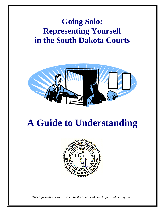# **Going Solo: Representing Yourself in the South Dakota Courts**



# **A Guide to Understanding**



*This information was provided by the South Dakota Unified Judicial System.*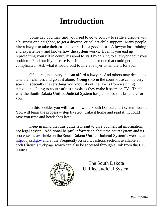# **Introduction**

Some day you may find you need to go to court  $-$  to settle a dispute with a business or a neighbor, to get a divorce, or collect child support. Many people hire a lawyer to take their case to court. It's a good idea. A lawyer has training and experience – and knows how the system works. Even if you end up representing yourself in court, it's good to start by talking to a lawyer about your problem. Find out if your case is a simple matter or one that could get complicated. Ask what it would cost to hire a lawyer to handle it for you.

Of course, not everyone can afford a lawyer. And others may decide to take their chances and go at it alone. Going solo in the courthouse can be very scary. Especially if everything you know about the law is from watching television. Going to court isn't as simple as they make it seem on TV. That's why the South Dakota Unified Judicial System has published this brochure for you.

In this booklet you will learn how the South Dakota court system works. You will learn the process – step by step. Take it home and read it. It could save you time and headaches later.

Keep in mind that this guide is meant to give you helpful information, not legal advice. Additional helpful information about the court system and its processes is available on the South Dakota Unified Judicial System's website at [http://ujs.sd.gov](http://ujs.sd.gov/) and at the Frequently Asked Questions sections available at each Circuit's webpage which can also be accessed through a link from the UJS homepage.



The South Dakota Unified Judicial System

*Rev. 12/2016*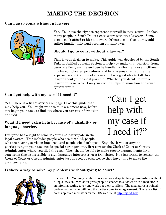## **MAKING THE DECISION**

#### **Can I go to court without a lawyer?**



Yes. You have the right to represent yourself in state courts. In fact, many people in South Dakota go to court without a **lawyer**. Some people can't afford to hire a lawyer. Others decide that they would rather handle their legal problem on their own.

#### **Should I go to court without a lawyer?**

That is your decision to make. This guide was developed by the South Dakota Unified Judicial System to help you make that decision. Some cases are fairly simple and can be handled without a lawyer. Others involve complicated procedures and legal issues that require the experience and training of a lawyer. It is a good idea to talk to a lawyer about your case if possible. Whether you decide to hire a lawyer or to go to court on your own, it helps to know how the court system works.

#### **Can I get help with my case if I need it?**

Yes. There is a list of services on page 11 of this guide that may help you. You might want to take a moment now, before you begin your case, to find out where you can get information or advice.

#### **What if I need extra help because of a disability or language barrier?**

Everyone has a right to come to court and participate in the legal system. This includes people who are disabled, people

"Can I get help with my case if I need it?"

who are hearing or vision impaired, and people who don't speak English. If you or anyone participating in your case needs special arrangements, first contact the Clerk of Court or Circuit Administrator where you filed the case. They should be able to make proper arrangements for a courtroom that is accessible, a sign language interpreter, or a translator. It is important to contact the Clerk of Court or Circuit Administrator just as soon as possible, so they have time to make the arrangements.

#### **Is there a way to solve my problems without going to court?**



It's possible. You may be able to resolve your dispute through **mediation** without filing a lawsuit. Mediation gives people a chance to sit down with a mediator in an informal setting to try and work out their conflicts. The mediator is a trained problem-solver who will help the parties come to an **agreement**. There is a list of court approved mediators on the UJS website at [http://ujs.sd.gov.](http://ujs.sd.gov/)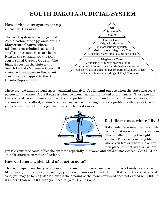### **SOUTH DAKOTA JUDICIAL SYSTEM**

#### **in South Dakota? How is the court system set up**

The court system is like a pyramid. At the bottom of the pyramid are the **Magistrate Courts**, where misdemeanor criminal cases and small claims court cases are heard. Next in the pyramid are the trial courts called **Circuit Courts**. The highest court in the state is the **South Dakota Supreme Court**. If someone loses a case in the circuit court, they can appeal to the South Dakota Supreme Court.



There are two kinds of legal cases: criminal and civil. A **criminal case** is when the state charges a person with a crime. A **civil case** is when someone sues an individual or a business. There are many kinds of civil cases. Some examples of a civil problem that could end up in court are: a divorce, a dispute with a landlord, a boundary disagreement with a neighbor, or a problem with a store that sold you a faulty product. **This guide covers only civil cases.**



#### **Do I file my case where I live?**

It depends. You must decide which county or state is right for your case. This is called finding the right **venue**. The case is usually filed where you live or where the action took place, but not always. Where

you file your case could affect the outcome especially in divorce and child custody cases. *See* SDCL ch. 15-5 for statutes on venue of actions.

#### **How do I know which kind of court to go to?**

That will depend on the type of case and the amount of money involved. If it is a family law matter, like divorce, child support, or custody, your case belongs in Circuit Court. If it is another kind of civil case, you may go to Magistrate Court if the amount of the money involved does not exceed \$12,000. If it is more than \$12,000, then you need to go to Circuit Court.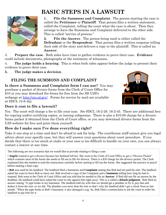

# **BASIC STEPS IN A LAWSUIT**

**1. File the Summons and Complaint**. The person starting the case is called the **Petitioner** or **Plaintiff**. That person files a written statement, called the Complaint, telling the court what the case is about. Then they arrange to have the Summons and Complaint delivered to the other side. This is called "service of process."

**2. File the Answer**. The person being sued is either called the **Defendant** or the **Respondent**. That person files a written response telling their side of the story and delivers a copy to the plaintiff. This is called an **Answer**.

3. **Prepare the case**. Both sides have time to gather evidence to prove their case. **Evidence**  could include documents, photographs or the testimony of witnesses.

4. **The judge holds a hearing**. This is when both sides appear before the judge to present their evidence to prove their case.

**5. The judge makes a decision**.

#### **FILING THE SUMMONS AND COMPLAINT**

**Is there a Summons and Complaint form I can use?** You may purchase a packet of divorce forms from the Clerk of Court Office for \$10 or you may download the forms for free from the SD UJS's webpage at [http://ujs.sd.gov/.](http://ujs.sd.gov/) Forms for service by mail are available at SDCL 15-6-4(j).



#### **Does it cost to file a lawsuit?**

Yes. The court will charge a fee to file your case. *See* SDCL 16-2-29, 16-2-45. There are additional fees for copying and/or certifying copies, or issuing subpoenas. There is also a \$10.00 charge for a divorce forms packet if obtained from the Clerk of Court office, or you may download divorce forms from the UJS website for free and print them yourself.

#### **How do I make sure I've done everything right?**

Take it one step at a time and don't be afraid to ask for help. The courthouse staff cannot give you legal advice about your specific case, but they will answer your questions about court procedure. If you decide that there is too much at stake or your case is too difficult to handle on your own, you can always contact a lawyer at any time.

The following are two scenarios that we would like to provide relating to filing a case:

▪ *Angela* wanted to get a divorce because her husband left her. She went to the Clerk of Court Office to get a "Divorce Packet" which contains most of the forms she needs to fill out to file for divorce. There is a \$10 charge for the divorce packet. The Clerk explained that she needed to read the instructions carefully before starting to fill out the forms. She suggested she practice in pencil before making a final copy.

▪ *Bob* was sued by his landlord. The landlord filed a Summons and **Complaint** stating that Bob had not paid his rent. The landlord asked the court to force Bob to move out. Bob received a copy of the Complaint and a **Summons** telling how long he had to respond. Bob went to the Clerk of Court Office and was told that he needed to file an **Answer**. If Bob did not file an answer by the deadline, his landlord could have asked the court to rule against him right away. This is a called a **default judgment**. Bob filed an answer stating "A pipe broke in my basement. The landlord told my wife that we should get a plumber to fix it, pay him and deduct it from the rent, so we did. The plumber cost more than the rent so that's why the landlord didn't get a check from us last month." When the pipe broke in Bob's basement, it also damaged a rug. So, Bob filed a counterclaim to ask the court to order his landlord to pay him for it.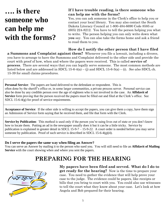# **…. is there someone who can help me with the forms?**

#### **If I have trouble reading, is there someone who can help me with the forms?**

Yes, you can ask someone in the Clerk's office to help you or contact your local library. You may also contact the South Dakota Literacy Council at 1-800-484-6690 Code 8585 or (605) 224-8212. You have to tell the person helping you what to write. The person helping you can only write down what **you** say. You can also take the forms home and ask a friend to read them to you.

#### **How do I notify the other person that I have filed**

**a Summons and Complaint against them?** Whenever you file a lawsuit, including a divorce, you have to arrange to have the Summons and Complaint delivered to the other side and provide the court with proof of how, when and where the papers were received. This is called **service of process**. There are several ways that you can legally serve someone. The most common methods are listed below and are addressed in SDCL 15-6-4(a) – (j) and SDCL 15-6-5(a) – (i). *See also* SDCL ch. 15-39 for small claims procedures.

**Personal Service**: The papers are hand delivered to the defendant or respondent. This is often done by the sheriff's office or, in some larger communities, a private process server. Personal service can also be done by any credible person over the age of eighteen who is not involved in the case. An **Affidavit of Service** form proving that the person received the papers must be filled out and filed at the Clerk's office. See SDCL 15-6-4(g) for proof of service requirements.

**Acceptance of Service**: If the other side is willing to accept the papers, you can give them a copy, have them sign an Admission of Service form saying that he received them, and file that form with the Clerk.

**Service by Publication**: This method is used only if the person you're suing lives out of state or you don't know how to locate them. Putting an ad in the newspaper usually does it but it can be a little tricky. Service by publication is explained in greater detail in SDCL 15-9-7 – 15-9-22. A court order is needed before you may serve someone by publication. Proof of such service is described in SDCL 15-6-4 $(g)(4)$ .

#### **Do I serve the papers the same way when filing an Answer?**

You can serve an Answer by mailing it to the person who sued you. You will still need to file an **Affidavit of Mailing**  Service with the court showing when and where you sent the papers.

### **PREPARING FOR THE HEARING**



**My papers have been filed and served. What do I do to get ready for the hearing?** Now is the time to prepare your case. You need to gather the evidence that will help prove your case to the judge. The evidence could be papers, like receipts or bills that you bring to court with you. You could also use witnesses to tell the court what they know about your case. Let's look at how Angela and Bob prepared for their hearing.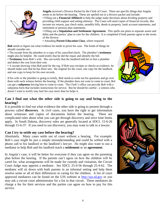

**Angela** received a Divorce Packet by the Clerk of Court. There are specific things that Angela needs to do before the hearing. These are spelled out in a divorce packet and include: ▪ Filling out a **Financial Affidavit** to help the judge make decisions about dividing property and providing child support and setting alimony. The Court will need copies of financial records, like income tax returns, pay check stubs, monthly bills, deeds to property, bank account statements, and retirement or pension plan statements.

▪ Filling out a **Stipulation and Settlement Agreement.** This spells out plans to separate assets and debts and the parties' plan to care for the children. It is completed if both parents agree to the terms of the divorce.

▪ Attending **Parent Education Class**, where required.

 $\ddot{\phantom{0}}$ 

**Bob** needs to figure out what evidence he needs to prove his case. The kinds of things he should consider are:

▪ The receipt from the plumber or a copy of his cancelled check. The plumber's **testimony** might also be helpful. He could testify that he did the repair and identify the bill.

▪ **Testimony** from Bob's wife. She can testify that the landlord told her to hire a plumber and deduct the cost from their rent.

▪ A receipt showing what Bob paid for the rug. If Bob uses receipts or checks as evidence, he should make sure that he has three sets: the original for the court, one copy for the landlord, and one copy to keep for his own records.

If his wife or the plumber is going to testify, Bob needs to write out his questions and go over them with each witness before the hearing. If the plumber does not want to come to court, Bob can get a **subpoena** forcing him to come to court. The Clerk's office can provide Bob with a subpoena form that includes instructions for service. But he should be careful - a witness who doesn't want to testify may hurt his case more than he helps it.



#### **Can I find out what the other side is going to say and bring to the hearing?**

It is possible to find out what evidence the other side is going to present through a process called **discovery**. In civil cases, you have the right to get information about witnesses and copies of documents before the hearing. There are complicated rules about what you can get through discovery and strict time limits apply. In South Dakota, discovery rules are generally located at SDCL 15-6-26 through 15-6-37. If you need to use discovery, you may want to talk to a lawyer.

#### **Can I try to settle my case before the hearing?**

Absolutely. Many cases settle out of court without a hearing. For example: Bob's case might be just a simple misunderstanding and could be settled with a phone call to his landlord or the landlord's lawyer. He might also want to use a mediator to help Bob and his landlord reach a **settlement** or an **agreement**.

In Angela's case, it will be better for everyone if they can agree on the parenting plan before the hearing. If the parents can't agree on how the children will be cared for, what arrangements will be made for custody and visitation, the Circuit Court Judge may appoint a mediator. *See* SDCL 25-4-56 through 25-4-62. The mediator will sit down with both parents in an informal setting and help them resolve some or all of their differences in caring for the children. A list of court approved mediators can be found on the UJS website at [http://ujs.sd.gov](http://ujs.sd.gov/) or you may ask a circuit court administrator for a list in that circuit. These mediators do charge a fee for their services and the parties can agree on how to pay for this service.

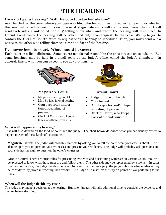## **THE HEARING**

#### **How do I get a hearing? Will the court just schedule one?**

Ask the clerk of the court where your case was filed whether you need to request a hearing or whether the court will schedule one on its own. In most Magistrate and small claims court cases, the court will send both sides a **notice of hearing** telling them when and where the hearing will take place. In Circuit Court cases, the hearing will be scheduled only upon request. In that case, it's up to you to contact the Clerk of Court's office to request that a hearing be scheduled. Then, you must send out a notice to the other side telling them the time and date of the hearing.

#### **I've never been to court. What should I expect?**

Each court is a little different. Some courts use formal rooms like the ones you see on television. But some hearings may be held in a small room or the judge's office, called the judge's chambers. In general, this is what you can expect to see at your hearing.



#### **What will happen at the hearing?**

That will also depend on the kind of court and the judge. The chart below describes what you can usually expect to happen in each of these kinds of courtrooms.

**Magistrate Court:** The judge will probably start off by asking you to tell the court what your case is about. It will also be up to you to question your witnesses and present your evidence. The judge will probably ask questions and each side has the right to question the other's witnesses.

**Circuit Court:** There are strict rules for presenting evidence and questioning witnesses in Circuit Court. You will be expected to know what those rules are and follow them. The other side may be represented by a lawyer. In cases tried without a jury, the judge decides the case. In cases tried before a jury, the judge rules on what evidence may be considered by jurors in reaching their verdict. The judge also instructs the jury on points of law pertaining to the case.

#### **When will the judge decide my case?**

The judge may make a decision at the hearing. But often judges will take additional time to consider the evidence and the law before deciding.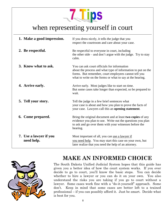

## when representing yourself in court

| 1. Make a good impression.           | If you dress nicely, it tells the judge that you<br>respect the courtroom and care about your case.                                                                                                                              |
|--------------------------------------|----------------------------------------------------------------------------------------------------------------------------------------------------------------------------------------------------------------------------------|
| 2. Be respectful.                    | Be respectful to everyone in court, including<br>the other side $-$ and don't argue with the judge. Try to stay<br>calm.                                                                                                         |
| 3. Know what to ask.                 | You can ask court officials for information<br>about the process and what type of information to put on the<br>forms. But remember, court employees cannot tell you<br>what to write on the forms or what to say at the hearing. |
| 4. Arrive early.                     | Arrive early. Most judges like to start on time.<br>But some cases take longer than expected, so be prepared to<br>wait.                                                                                                         |
| 5. Tell your story.                  | Tell the judge in a few brief sentences what<br>your case is about and how you plan to prove the facts of<br>your case. Lawyers call this an opening statement.                                                                  |
| 6. Come prepared.                    | Bring the original document and at least two copies of any<br>evidence you plan to use. Write out the questions you plan<br>to ask and go over them with your witnesses before the<br>hearing.                                   |
| 7. Use a lawyer if you<br>need help. | Most important of all, you can use a lawyer if<br>you need help. You may start this case on your own, but<br>later realize that you need the help of an attorney.                                                                |



## **MAKE AN INFORMED CHOICE**

The South Dakota Unified Judicial System hopes that this guide has given you a better idea of how the court system works. If you ever decide to go to court, you'll know the basic steps. You can decide whether to hire a lawyer or you can do it on your own. You also understand the risks you are taking if you go to court without a lawyer. Some cases work fine with a "do-it-yourself" approach. Some don't. Keep in mind that some cases are better left to a trained professional – if you can possibly afford it. Just be smart. Decide what is best for you.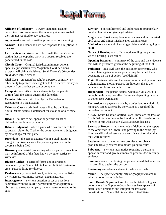

**Affidavit of Indigency** – a sworn statement used to determine if someone meets the income guidelines so that they are not required to pay court fees

**Agreement** – an oral or written promise to do something

**Answer** – The defendant's written response to allegations in the case

**Certificate of Service** – Form filed with the Clerk's office stating that the opposing party in a lawsuit received the papers filed in the case

**Circuit Court** – Original jurisdiction in most actions, appellate jurisdiction over Magistrate Court decisions, except small claims decisions. South Dakota's 66 counties are divided into 7 circuits

**Civil Case** – an action brought by a person, company, or other entity to protect some right or to help recover money or property from another person or company

**Complaint** – (civil) written statements by the plaintiff setting forth the claims against the defendant

**Counterclaim** – a claim filed by the Defendant or Respondent in a legal action

**Criminal Case** - a criminal lawsuit filed by the State of South Dakota against a defendant for violation of a criminal law

**Default** – failure to act, appear or perform an act or obligation that is legally required

**Default Judgment** – when a party who has been sued fails to answer, either the Clerk or the court may enter a judgment by default against that party

**Defendant** – the person against whom a civil lawsuit is brought. In divorce cases, the person against whom the divorce is being filed

**Discovery** – a pretrial proceeding where a party to an action may be informed of the facts known by other parties or witnesses

**Divorce Packet** - a series of forms and instructions developed by the South Dakota Unified Judicial System to assist persons filing for divorce

**Evidence** – any presented proof, which may be established by witnesses, testimony, records, documents, etc.

**Interrogatory** – a written question or set of questions submitted (with the court's permission) by one party to a civil suit to the opposing party on any matter relevant to the case

**Lawyer** – a person licensed and authorized to practice law, conduct lawsuits, or give legal advice

**Magistrate Court** – may hear small claims and uncontested civil cases and minor misdemeanor criminal cases

**Mediation** – a method of solving problems without going to court

**Notice of Hearing** – an official notice telling the parties when a hearing is scheduled

**Opening Statement** – summary of the case and the evidence that will be presented given at the beginning of the trial

**Petitioner** – in a civil case, the person or other entity who files a claim against another person; may be called Plaintiff depending on type of action (see Plaintiff)

**Plaintiff** – in a civil case, the person or other entity who files a claim against another person. In divorces, this is the person who files or starts the divorce

**Respondent** – the person against whom a civil lawsuit is being brought; may be called Defendant depending on type of action (see Defendant)

**Restitution** – a payment made by a defendant to a victim for monetary losses suffered by the victim as a result of the defendant's conduct

**SDCL -** South Dakota Codified Laws - these are the laws of South Dakota. Copies can be found in public libraries or on the web at http://legis.state.sd.us/statutes/index.aspx

**Service of Process** – legal methods of delivering the papers to the other side in a lawsuit and proving to the court (by filing an affidavit of service or a certificate of service) that they were received

**Settlement** – an oral or written promise to resolve a problem, usually entered into before going to court

**Subpoena** – a written legal notice requiring a person to appear in court and give testimony or produce documentary evidence

**Summons** – a writ notifying the person named that an action has been filed against the person

**Testimony** – a solemn statement made under oath

**Venue** – The specific county, city or geographical area in which a court has jurisdiction

**South Dakota Supreme Court** – South Dakota's highest court where five Supreme Court Justices hear appeals of circuit court decisions and interpret the laws and constitutions of South Dakota and the United States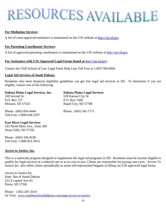# ESOURCES AVAILABLE

#### **For Mediation Services:**

A list of court-approved mediators is maintained on the UJS website at [http://ujs.sd.gov.](http://ujs.sd.gov/)

#### **For Parenting Coordinator Services:**

A list of approved parenting coordinators is maintained on the UJS website at [http://ujs.sd.gov.](http://ujs.sd.gov/)

#### **For Assistance with UJS-Approved Legal Forms found at** [http://ujs.sd.gov](http://ujs.sd.gov/)**:**

Contact the USD School of Law Legal Form Help Line Toll Free at 1-855-784-0004.

#### **Legal Aid Services of South Dakota:**

Residents who meet financial eligibility guidelines can get free legal aid services in SD. To determine if you are eligible, contact one of the following:

| Dakota Plains Legal Services, Inc.                 | <b>Dakota Plains Legal Services</b> |
|----------------------------------------------------|-------------------------------------|
| 160 Second St.                                     | 528 Kansas City St.                 |
| P.O. Box 727                                       | P.O. Box 1500                       |
| Mission, SD 57555                                  | Rapid City, SD 57708                |
| Phone: (605) 856-4444<br>Toll Free: 1-800-658-2297 | Phone: (605) 342-7171               |

#### **East River Legal Services**

335 North Main Ave., Suite 300 Sioux Falls, SD 57102

Phone: (605) 336-9230 Toll Free: 1-800-952-3015

#### **Access to Justice, Inc.**

This is a statewide program designed to supplement the legal aid programs in SD. Residents must be income eligible to qualify for legal services at a reduced rate or at no cost to you. Clients are responsible for paying case costs. Access To Justice Inc. also offers clinics periodically to assist self-represented litigants in filling out UJS approved legal forms.

Access to Justice Inc State Bar of South Dakota 222 E capitol Ave #3 Pierre, SD 57501

Phone: 1-855-287-3510 Or Visit: [www.statebarofsouthdakota.com/page/access-to-justice](http://www.statebarofsouthdakota.com/page/access-to-justice)